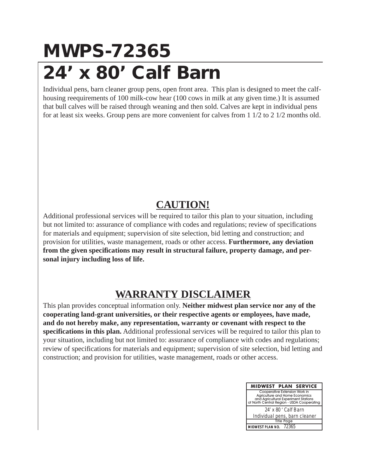## **MWPS-72365 24' x 80' Calf Barn**

Individual pens, barn cleaner group pens, open front area. This plan is designed to meet the calfhousing reequirements of 100 milk-cow hear (100 cows in milk at any given time.) It is assumed that bull calves will be raised through weaning and then sold. Calves are kept in individual pens for at least six weeks. Group pens are more convenient for calves from 1 1/2 to 2 1/2 months old.

## **CAUTION!**

Additional professional services will be required to tailor this plan to your situation, including but not limited to: assurance of compliance with codes and regulations; review of specifications for materials and equipment; supervision of site selection, bid letting and construction; and provision for utilities, waste management, roads or other access. **Furthermore, any deviation from the given specifications may result in structural failure, property damage, and personal injury including loss of life.**

## **WARRANTY DISCLAIMER**

This plan provides conceptual information only. **Neither midwest plan service nor any of the cooperating land-grant universities, or their respective agents or employees, have made, and do not hereby make, any representation, warranty or covenant with respect to the specifications in this plan.** Additional professional services will be required to tailor this plan to your situation, including but not limited to: assurance of compliance with codes and regulations; review of specifications for materials and equipment; supervision of site selection, bid letting and construction; and provision for utilities, waste management, roads or other access.

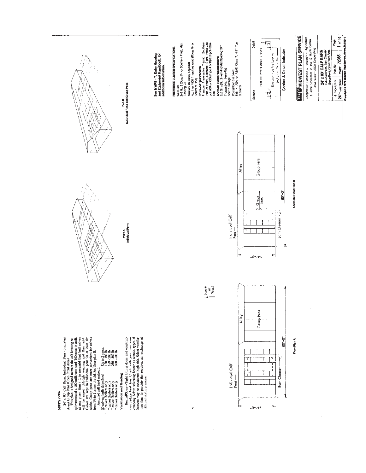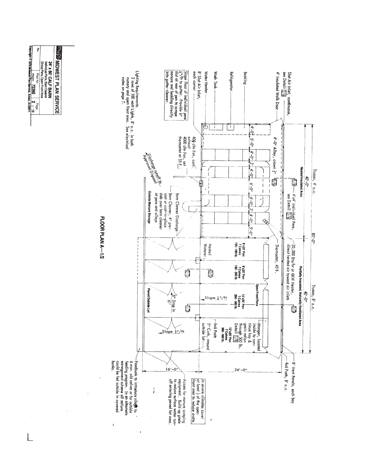

 $\big\}$ 

 $\lambda$ 

Plan No Plan No P2365<br>Copyright © 1979 Michael Plan Sonvice, Ameri, IX 50011<br>Copyright © 1979 Michael Plan Sonvice, Ameri, IX 50011 24' x 80' CALF BARN<br>Individual Pens, Barn Cleaner<br>Group Pens, Open Front Area Plan No

 $\overline{L}$ 

 $\frac{1}{2}$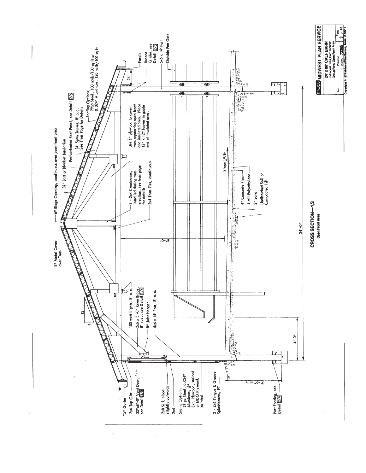

 $\mathbb{Z}_4$ 

 $\ddot{\phantom{a}}$ 

l,

 $\hat{\boldsymbol{\theta}}$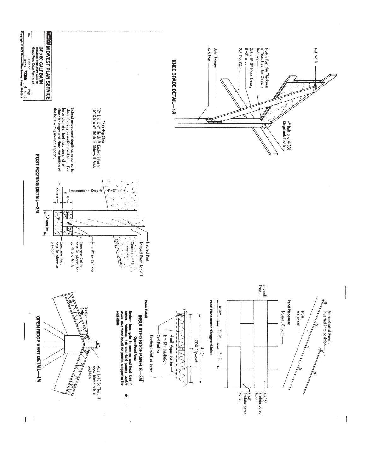

 $\begin{array}{c} \hline \end{array}$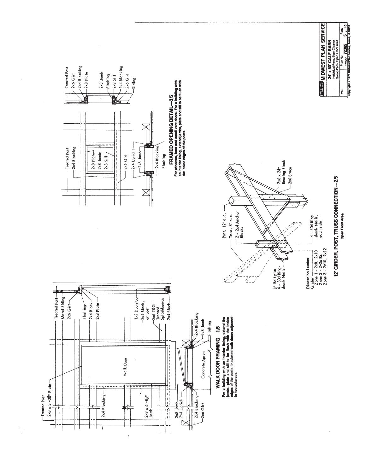

 $\frac{1}{\sqrt{2}}$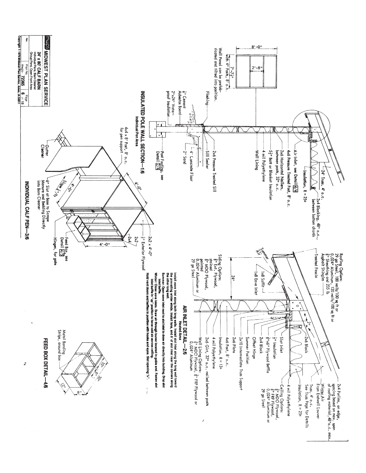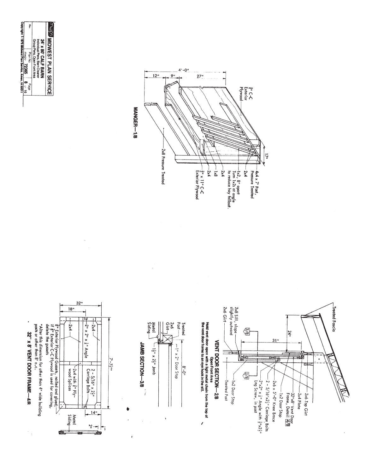



32" x 8' VENT DOOR FRAME-4/8



ï